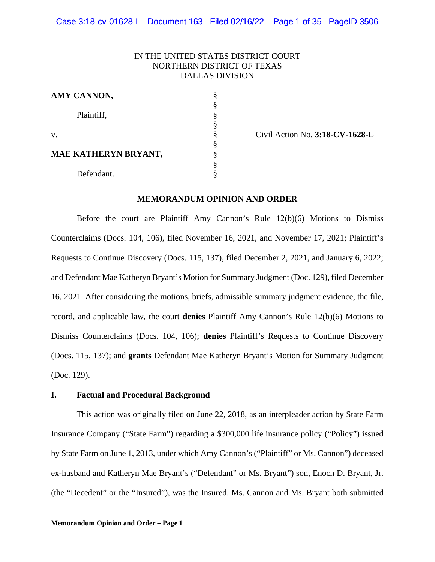# IN THE UNITED STATES DISTRICT COURT NORTHERN DISTRICT OF TEXAS DALLAS DIVISION

| AMY CANNON,                 |  |
|-----------------------------|--|
|                             |  |
| Plaintiff,                  |  |
|                             |  |
| $V_{\cdot}$                 |  |
|                             |  |
| <b>MAE KATHERYN BRYANT,</b> |  |
|                             |  |
| Defendant.                  |  |

Civil Action No. **3:18-CV-1628-L** 

### **MEMORANDUM OPINION AND ORDER**

Before the court are Plaintiff Amy Cannon's Rule 12(b)(6) Motions to Dismiss Counterclaims (Docs. 104, 106), filed November 16, 2021, and November 17, 2021; Plaintiff's Requests to Continue Discovery (Docs. 115, 137), filed December 2, 2021, and January 6, 2022; and Defendant Mae Katheryn Bryant's Motion for Summary Judgment (Doc. 129), filed December 16, 2021. After considering the motions, briefs, admissible summary judgment evidence, the file, record, and applicable law, the court **denies** Plaintiff Amy Cannon's Rule 12(b)(6) Motions to Dismiss Counterclaims (Docs. 104, 106); **denies** Plaintiff's Requests to Continue Discovery (Docs. 115, 137); and **grants** Defendant Mae Katheryn Bryant's Motion for Summary Judgment (Doc. 129).

# **I. Factual and Procedural Background**

This action was originally filed on June 22, 2018, as an interpleader action by State Farm Insurance Company ("State Farm") regarding a \$300,000 life insurance policy ("Policy") issued by State Farm on June 1, 2013, under which Amy Cannon's ("Plaintiff" or Ms. Cannon") deceased ex-husband and Katheryn Mae Bryant's ("Defendant" or Ms. Bryant") son, Enoch D. Bryant, Jr. (the "Decedent" or the "Insured"), was the Insured. Ms. Cannon and Ms. Bryant both submitted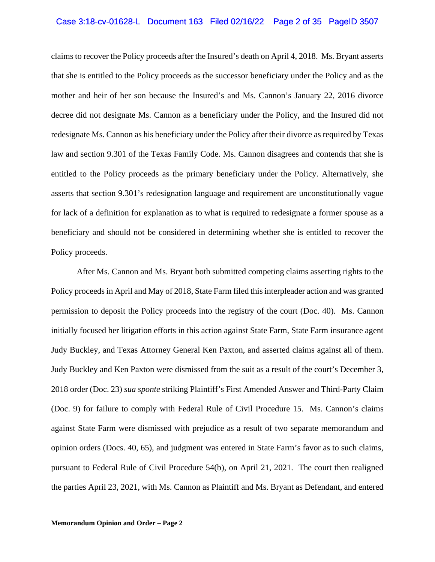### Case 3:18-cv-01628-L Document 163 Filed 02/16/22 Page 2 of 35 PageID 3507

claims to recover the Policy proceeds after the Insured's death on April 4, 2018. Ms. Bryant asserts that she is entitled to the Policy proceeds as the successor beneficiary under the Policy and as the mother and heir of her son because the Insured's and Ms. Cannon's January 22, 2016 divorce decree did not designate Ms. Cannon as a beneficiary under the Policy, and the Insured did not redesignate Ms. Cannon as his beneficiary under the Policy after their divorce as required by Texas law and section 9.301 of the Texas Family Code. Ms. Cannon disagrees and contends that she is entitled to the Policy proceeds as the primary beneficiary under the Policy. Alternatively, she asserts that section 9.301's redesignation language and requirement are unconstitutionally vague for lack of a definition for explanation as to what is required to redesignate a former spouse as a beneficiary and should not be considered in determining whether she is entitled to recover the Policy proceeds.

After Ms. Cannon and Ms. Bryant both submitted competing claims asserting rights to the Policy proceeds in April and May of 2018, State Farm filed this interpleader action and was granted permission to deposit the Policy proceeds into the registry of the court (Doc. 40). Ms. Cannon initially focused her litigation efforts in this action against State Farm, State Farm insurance agent Judy Buckley, and Texas Attorney General Ken Paxton, and asserted claims against all of them. Judy Buckley and Ken Paxton were dismissed from the suit as a result of the court's December 3, 2018 order (Doc. 23) *sua sponte* striking Plaintiff's First Amended Answer and Third-Party Claim (Doc. 9) for failure to comply with Federal Rule of Civil Procedure 15. Ms. Cannon's claims against State Farm were dismissed with prejudice as a result of two separate memorandum and opinion orders (Docs. 40, 65), and judgment was entered in State Farm's favor as to such claims, pursuant to Federal Rule of Civil Procedure 54(b), on April 21, 2021. The court then realigned the parties April 23, 2021, with Ms. Cannon as Plaintiff and Ms. Bryant as Defendant, and entered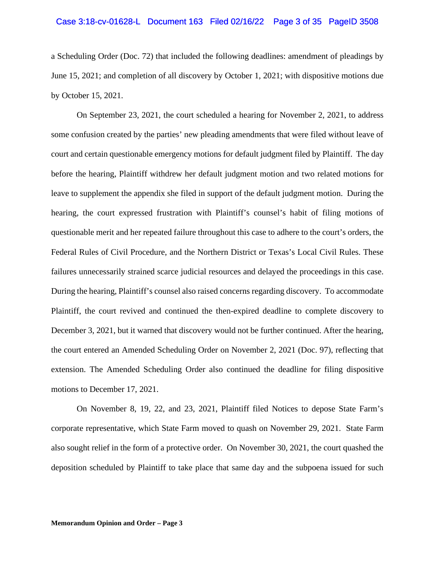#### Case 3:18-cv-01628-L Document 163 Filed 02/16/22 Page 3 of 35 PageID 3508

a Scheduling Order (Doc. 72) that included the following deadlines: amendment of pleadings by June 15, 2021; and completion of all discovery by October 1, 2021; with dispositive motions due by October 15, 2021.

On September 23, 2021, the court scheduled a hearing for November 2, 2021, to address some confusion created by the parties' new pleading amendments that were filed without leave of court and certain questionable emergency motions for default judgment filed by Plaintiff. The day before the hearing, Plaintiff withdrew her default judgment motion and two related motions for leave to supplement the appendix she filed in support of the default judgment motion. During the hearing, the court expressed frustration with Plaintiff's counsel's habit of filing motions of questionable merit and her repeated failure throughout this case to adhere to the court's orders, the Federal Rules of Civil Procedure, and the Northern District or Texas's Local Civil Rules. These failures unnecessarily strained scarce judicial resources and delayed the proceedings in this case. During the hearing, Plaintiff's counsel also raised concerns regarding discovery. To accommodate Plaintiff, the court revived and continued the then-expired deadline to complete discovery to December 3, 2021, but it warned that discovery would not be further continued. After the hearing, the court entered an Amended Scheduling Order on November 2, 2021 (Doc. 97), reflecting that extension. The Amended Scheduling Order also continued the deadline for filing dispositive motions to December 17, 2021.

On November 8, 19, 22, and 23, 2021, Plaintiff filed Notices to depose State Farm's corporate representative, which State Farm moved to quash on November 29, 2021. State Farm also sought relief in the form of a protective order. On November 30, 2021, the court quashed the deposition scheduled by Plaintiff to take place that same day and the subpoena issued for such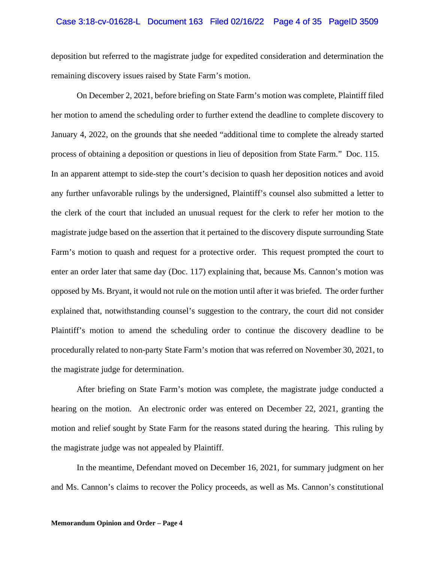### Case 3:18-cv-01628-L Document 163 Filed 02/16/22 Page 4 of 35 PageID 3509

deposition but referred to the magistrate judge for expedited consideration and determination the remaining discovery issues raised by State Farm's motion.

On December 2, 2021, before briefing on State Farm's motion was complete, Plaintiff filed her motion to amend the scheduling order to further extend the deadline to complete discovery to January 4, 2022, on the grounds that she needed "additional time to complete the already started process of obtaining a deposition or questions in lieu of deposition from State Farm." Doc. 115. In an apparent attempt to side-step the court's decision to quash her deposition notices and avoid any further unfavorable rulings by the undersigned, Plaintiff's counsel also submitted a letter to the clerk of the court that included an unusual request for the clerk to refer her motion to the magistrate judge based on the assertion that it pertained to the discovery dispute surrounding State Farm's motion to quash and request for a protective order. This request prompted the court to enter an order later that same day (Doc. 117) explaining that, because Ms. Cannon's motion was opposed by Ms. Bryant, it would not rule on the motion until after it was briefed. The order further explained that, notwithstanding counsel's suggestion to the contrary, the court did not consider Plaintiff's motion to amend the scheduling order to continue the discovery deadline to be procedurally related to non-party State Farm's motion that was referred on November 30, 2021, to the magistrate judge for determination.

After briefing on State Farm's motion was complete, the magistrate judge conducted a hearing on the motion. An electronic order was entered on December 22, 2021, granting the motion and relief sought by State Farm for the reasons stated during the hearing. This ruling by the magistrate judge was not appealed by Plaintiff.

In the meantime, Defendant moved on December 16, 2021, for summary judgment on her and Ms. Cannon's claims to recover the Policy proceeds, as well as Ms. Cannon's constitutional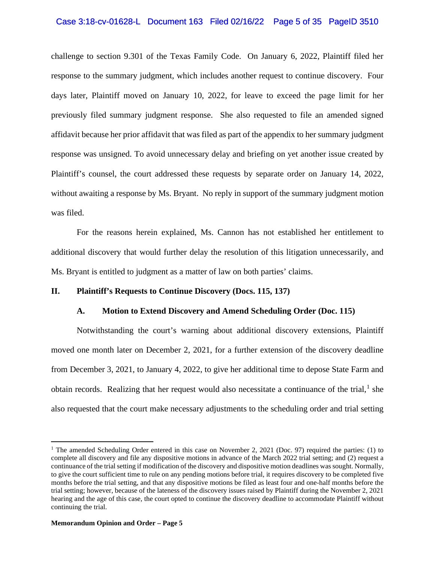# Case 3:18-cv-01628-L Document 163 Filed 02/16/22 Page 5 of 35 PageID 3510

challenge to section 9.301 of the Texas Family Code. On January 6, 2022, Plaintiff filed her response to the summary judgment, which includes another request to continue discovery. Four days later, Plaintiff moved on January 10, 2022, for leave to exceed the page limit for her previously filed summary judgment response. She also requested to file an amended signed affidavit because her prior affidavit that was filed as part of the appendix to her summary judgment response was unsigned. To avoid unnecessary delay and briefing on yet another issue created by Plaintiff's counsel, the court addressed these requests by separate order on January 14, 2022, without awaiting a response by Ms. Bryant. No reply in support of the summary judgment motion was filed.

For the reasons herein explained, Ms. Cannon has not established her entitlement to additional discovery that would further delay the resolution of this litigation unnecessarily, and Ms. Bryant is entitled to judgment as a matter of law on both parties' claims.

# **II. Plaintiff's Requests to Continue Discovery (Docs. 115, 137)**

#### **A. Motion to Extend Discovery and Amend Scheduling Order (Doc. 115)**

Notwithstanding the court's warning about additional discovery extensions, Plaintiff moved one month later on December 2, 2021, for a further extension of the discovery deadline from December 3, 2021, to January 4, 2022, to give her additional time to depose State Farm and obtain records. Realizing that her request would also necessitate a continuance of the trial,  $\frac{1}{1}$  $\frac{1}{1}$  $\frac{1}{1}$  she also requested that the court make necessary adjustments to the scheduling order and trial setting

<span id="page-4-0"></span><sup>&</sup>lt;sup>1</sup> The amended Scheduling Order entered in this case on November 2, 2021 (Doc. 97) required the parties: (1) to complete all discovery and file any dispositive motions in advance of the March 2022 trial setting; and (2) request a continuance of the trial setting if modification of the discovery and dispositive motion deadlines was sought. Normally, to give the court sufficient time to rule on any pending motions before trial, it requires discovery to be completed five months before the trial setting, and that any dispositive motions be filed as least four and one-half months before the trial setting; however, because of the lateness of the discovery issues raised by Plaintiff during the November 2, 2021 hearing and the age of this case, the court opted to continue the discovery deadline to accommodate Plaintiff without continuing the trial.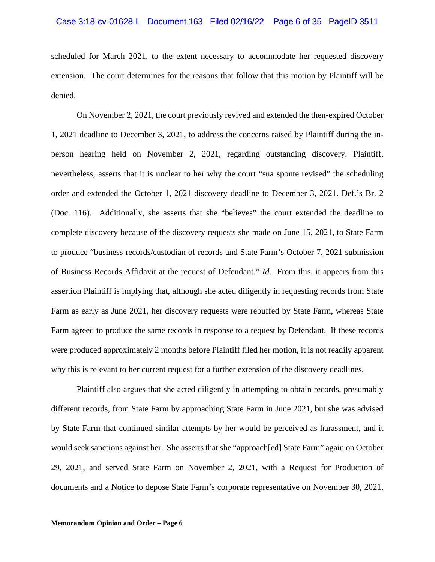### Case 3:18-cv-01628-L Document 163 Filed 02/16/22 Page 6 of 35 PageID 3511

scheduled for March 2021, to the extent necessary to accommodate her requested discovery extension. The court determines for the reasons that follow that this motion by Plaintiff will be denied.

On November 2, 2021, the court previously revived and extended the then-expired October 1, 2021 deadline to December 3, 2021, to address the concerns raised by Plaintiff during the inperson hearing held on November 2, 2021, regarding outstanding discovery. Plaintiff, nevertheless, asserts that it is unclear to her why the court "sua sponte revised" the scheduling order and extended the October 1, 2021 discovery deadline to December 3, 2021. Def.'s Br. 2 (Doc. 116). Additionally, she asserts that she "believes" the court extended the deadline to complete discovery because of the discovery requests she made on June 15, 2021, to State Farm to produce "business records/custodian of records and State Farm's October 7, 2021 submission of Business Records Affidavit at the request of Defendant." *Id.* From this, it appears from this assertion Plaintiff is implying that, although she acted diligently in requesting records from State Farm as early as June 2021, her discovery requests were rebuffed by State Farm, whereas State Farm agreed to produce the same records in response to a request by Defendant. If these records were produced approximately 2 months before Plaintiff filed her motion, it is not readily apparent why this is relevant to her current request for a further extension of the discovery deadlines.

Plaintiff also argues that she acted diligently in attempting to obtain records, presumably different records, from State Farm by approaching State Farm in June 2021, but she was advised by State Farm that continued similar attempts by her would be perceived as harassment, and it would seek sanctions against her. She asserts that she "approach[ed] State Farm" again on October 29, 2021, and served State Farm on November 2, 2021, with a Request for Production of documents and a Notice to depose State Farm's corporate representative on November 30, 2021,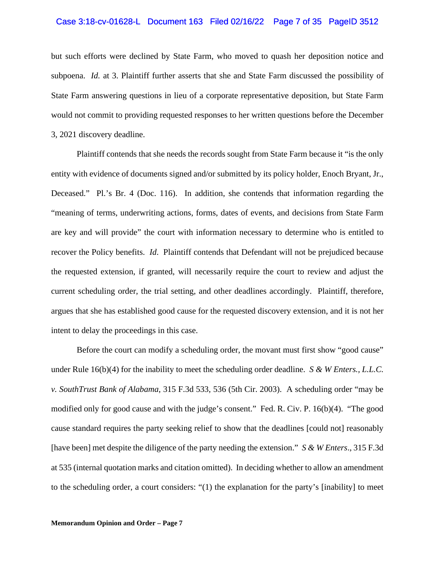#### Case 3:18-cv-01628-L Document 163 Filed 02/16/22 Page 7 of 35 PageID 3512

but such efforts were declined by State Farm, who moved to quash her deposition notice and subpoena. *Id.* at 3. Plaintiff further asserts that she and State Farm discussed the possibility of State Farm answering questions in lieu of a corporate representative deposition, but State Farm would not commit to providing requested responses to her written questions before the December 3, 2021 discovery deadline.

Plaintiff contends that she needs the records sought from State Farm because it "is the only entity with evidence of documents signed and/or submitted by its policy holder, Enoch Bryant, Jr., Deceased." Pl.'s Br. 4 (Doc. 116). In addition, she contends that information regarding the "meaning of terms, underwriting actions, forms, dates of events, and decisions from State Farm are key and will provide" the court with information necessary to determine who is entitled to recover the Policy benefits. *Id*. Plaintiff contends that Defendant will not be prejudiced because the requested extension, if granted, will necessarily require the court to review and adjust the current scheduling order, the trial setting, and other deadlines accordingly. Plaintiff, therefore, argues that she has established good cause for the requested discovery extension, and it is not her intent to delay the proceedings in this case.

Before the court can modify a scheduling order, the movant must first show "good cause" under Rule 16(b)(4) for the inability to meet the scheduling order deadline. *S & W Enters., L.L.C. v. SouthTrust Bank of Alabama*, 315 F.3d 533, 536 (5th Cir. 2003). A scheduling order "may be modified only for good cause and with the judge's consent." Fed. R. Civ. P. 16(b)(4). "The good cause standard requires the party seeking relief to show that the deadlines [could not] reasonably [have been] met despite the diligence of the party needing the extension." *S & W Enters*., 315 F.3d at 535 (internal quotation marks and citation omitted). In deciding whether to allow an amendment to the scheduling order, a court considers: "(1) the explanation for the party's [inability] to meet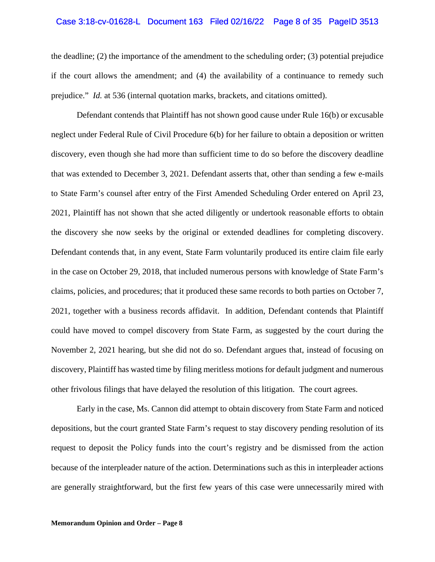### Case 3:18-cv-01628-L Document 163 Filed 02/16/22 Page 8 of 35 PageID 3513

the deadline; (2) the importance of the amendment to the scheduling order; (3) potential prejudice if the court allows the amendment; and (4) the availability of a continuance to remedy such prejudice." *Id.* at 536 (internal quotation marks, brackets, and citations omitted).

Defendant contends that Plaintiff has not shown good cause under Rule 16(b) or excusable neglect under Federal Rule of Civil Procedure 6(b) for her failure to obtain a deposition or written discovery, even though she had more than sufficient time to do so before the discovery deadline that was extended to December 3, 2021. Defendant asserts that, other than sending a few e-mails to State Farm's counsel after entry of the First Amended Scheduling Order entered on April 23, 2021, Plaintiff has not shown that she acted diligently or undertook reasonable efforts to obtain the discovery she now seeks by the original or extended deadlines for completing discovery. Defendant contends that, in any event, State Farm voluntarily produced its entire claim file early in the case on October 29, 2018, that included numerous persons with knowledge of State Farm's claims, policies, and procedures; that it produced these same records to both parties on October 7, 2021, together with a business records affidavit. In addition, Defendant contends that Plaintiff could have moved to compel discovery from State Farm, as suggested by the court during the November 2, 2021 hearing, but she did not do so. Defendant argues that, instead of focusing on discovery, Plaintiff has wasted time by filing meritless motions for default judgment and numerous other frivolous filings that have delayed the resolution of this litigation. The court agrees.

Early in the case, Ms. Cannon did attempt to obtain discovery from State Farm and noticed depositions, but the court granted State Farm's request to stay discovery pending resolution of its request to deposit the Policy funds into the court's registry and be dismissed from the action because of the interpleader nature of the action. Determinations such as this in interpleader actions are generally straightforward, but the first few years of this case were unnecessarily mired with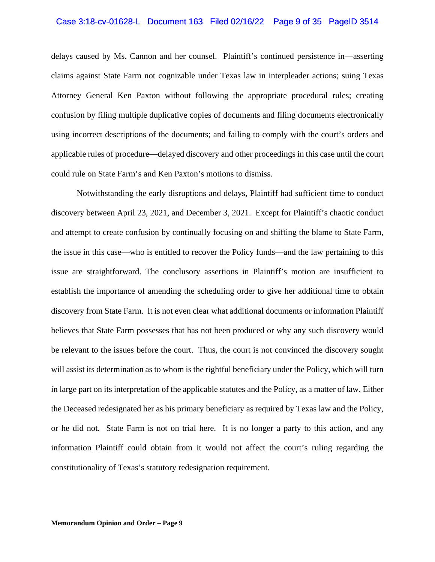### Case 3:18-cv-01628-L Document 163 Filed 02/16/22 Page 9 of 35 PageID 3514

delays caused by Ms. Cannon and her counsel. Plaintiff's continued persistence in—asserting claims against State Farm not cognizable under Texas law in interpleader actions; suing Texas Attorney General Ken Paxton without following the appropriate procedural rules; creating confusion by filing multiple duplicative copies of documents and filing documents electronically using incorrect descriptions of the documents; and failing to comply with the court's orders and applicable rules of procedure—delayed discovery and other proceedings in this case until the court could rule on State Farm's and Ken Paxton's motions to dismiss.

Notwithstanding the early disruptions and delays, Plaintiff had sufficient time to conduct discovery between April 23, 2021, and December 3, 2021. Except for Plaintiff's chaotic conduct and attempt to create confusion by continually focusing on and shifting the blame to State Farm, the issue in this case—who is entitled to recover the Policy funds—and the law pertaining to this issue are straightforward. The conclusory assertions in Plaintiff's motion are insufficient to establish the importance of amending the scheduling order to give her additional time to obtain discovery from State Farm. It is not even clear what additional documents or information Plaintiff believes that State Farm possesses that has not been produced or why any such discovery would be relevant to the issues before the court. Thus, the court is not convinced the discovery sought will assist its determination as to whom is the rightful beneficiary under the Policy, which will turn in large part on its interpretation of the applicable statutes and the Policy, as a matter of law. Either the Deceased redesignated her as his primary beneficiary as required by Texas law and the Policy, or he did not. State Farm is not on trial here. It is no longer a party to this action, and any information Plaintiff could obtain from it would not affect the court's ruling regarding the constitutionality of Texas's statutory redesignation requirement.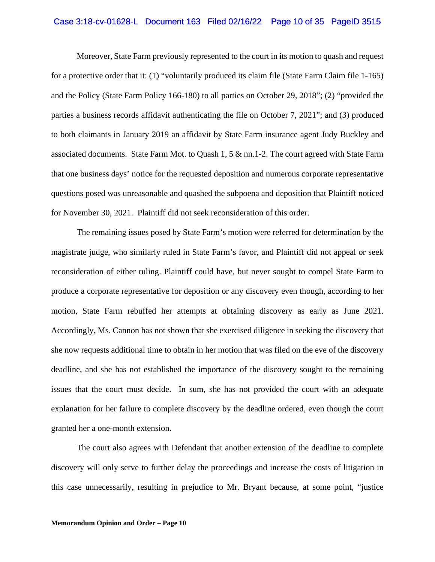## Case 3:18-cv-01628-L Document 163 Filed 02/16/22 Page 10 of 35 PageID 3515

Moreover, State Farm previously represented to the court in its motion to quash and request for a protective order that it: (1) "voluntarily produced its claim file (State Farm Claim file 1-165) and the Policy (State Farm Policy 166-180) to all parties on October 29, 2018"; (2) "provided the parties a business records affidavit authenticating the file on October 7, 2021"; and (3) produced to both claimants in January 2019 an affidavit by State Farm insurance agent Judy Buckley and associated documents. State Farm Mot. to Quash 1, 5 & nn.1-2. The court agreed with State Farm that one business days' notice for the requested deposition and numerous corporate representative questions posed was unreasonable and quashed the subpoena and deposition that Plaintiff noticed for November 30, 2021. Plaintiff did not seek reconsideration of this order.

The remaining issues posed by State Farm's motion were referred for determination by the magistrate judge, who similarly ruled in State Farm's favor, and Plaintiff did not appeal or seek reconsideration of either ruling. Plaintiff could have, but never sought to compel State Farm to produce a corporate representative for deposition or any discovery even though, according to her motion, State Farm rebuffed her attempts at obtaining discovery as early as June 2021. Accordingly, Ms. Cannon has not shown that she exercised diligence in seeking the discovery that she now requests additional time to obtain in her motion that was filed on the eve of the discovery deadline, and she has not established the importance of the discovery sought to the remaining issues that the court must decide. In sum, she has not provided the court with an adequate explanation for her failure to complete discovery by the deadline ordered, even though the court granted her a one-month extension.

The court also agrees with Defendant that another extension of the deadline to complete discovery will only serve to further delay the proceedings and increase the costs of litigation in this case unnecessarily, resulting in prejudice to Mr. Bryant because, at some point, "justice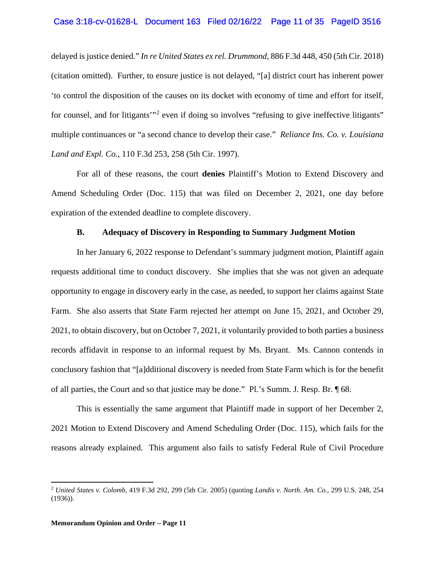delayed is justice denied." *In re United States ex rel. Drummond*, 886 F.3d 448, 450 (5th Cir. 2018) (citation omitted). Further, to ensure justice is not delayed, "[a] district court has inherent power 'to control the disposition of the causes on its docket with economy of time and effort for itself, for counsel, and for litigants<sup>"[2](#page-10-0)</sup> even if doing so involves "refusing to give ineffective litigants" multiple continuances or "a second chance to develop their case." *Reliance Ins. Co. v. Louisiana Land and Expl. Co.*, 110 F.3d 253, 258 (5th Cir. 1997).

For all of these reasons, the court **denies** Plaintiff's Motion to Extend Discovery and Amend Scheduling Order (Doc. 115) that was filed on December 2, 2021, one day before expiration of the extended deadline to complete discovery.

## **B. Adequacy of Discovery in Responding to Summary Judgment Motion**

In her January 6, 2022 response to Defendant's summary judgment motion, Plaintiff again requests additional time to conduct discovery. She implies that she was not given an adequate opportunity to engage in discovery early in the case, as needed, to support her claims against State Farm. She also asserts that State Farm rejected her attempt on June 15, 2021, and October 29, 2021, to obtain discovery, but on October 7, 2021, it voluntarily provided to both parties a business records affidavit in response to an informal request by Ms. Bryant. Ms. Cannon contends in conclusory fashion that "[a]dditional discovery is needed from State Farm which is for the benefit of all parties, the Court and so that justice may be done." Pl.'s Summ. J. Resp. Br. ¶ 68.

This is essentially the same argument that Plaintiff made in support of her December 2, 2021 Motion to Extend Discovery and Amend Scheduling Order (Doc. 115), which fails for the reasons already explained. This argument also fails to satisfy Federal Rule of Civil Procedure

<span id="page-10-0"></span><sup>2</sup> *United States v. Colomb*, 419 F.3d 292, 299 (5th Cir. 2005) (quoting *Landis v. North. Am. Co.*, 299 U.S. 248, 254 (1936)).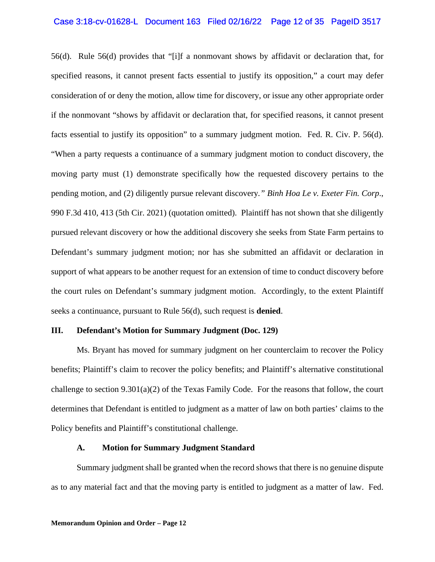# Case 3:18-cv-01628-L Document 163 Filed 02/16/22 Page 12 of 35 PageID 3517

56(d). Rule 56(d) provides that "[i]f a nonmovant shows by affidavit or declaration that, for specified reasons, it cannot present facts essential to justify its opposition," a court may defer consideration of or deny the motion, allow time for discovery, or issue any other appropriate order if the nonmovant "shows by affidavit or declaration that, for specified reasons, it cannot present facts essential to justify its opposition" to a summary judgment motion. Fed. R. Civ. P. 56(d). "When a party requests a continuance of a summary judgment motion to conduct discovery, the moving party must (1) demonstrate specifically how the requested discovery pertains to the pending motion, and (2) diligently pursue relevant discovery*." Binh Hoa Le v. Exeter Fin. Corp*., 990 F.3d 410, 413 (5th Cir. 2021) (quotation omitted). Plaintiff has not shown that she diligently pursued relevant discovery or how the additional discovery she seeks from State Farm pertains to Defendant's summary judgment motion; nor has she submitted an affidavit or declaration in support of what appears to be another request for an extension of time to conduct discovery before the court rules on Defendant's summary judgment motion. Accordingly, to the extent Plaintiff seeks a continuance, pursuant to Rule 56(d), such request is **denied**.

### **III. Defendant's Motion for Summary Judgment (Doc. 129)**

Ms. Bryant has moved for summary judgment on her counterclaim to recover the Policy benefits; Plaintiff's claim to recover the policy benefits; and Plaintiff's alternative constitutional challenge to section 9.301(a)(2) of the Texas Family Code. For the reasons that follow, the court determines that Defendant is entitled to judgment as a matter of law on both parties' claims to the Policy benefits and Plaintiff's constitutional challenge.

## **A. Motion for Summary Judgment Standard**

Summary judgment shall be granted when the record shows that there is no genuine dispute as to any material fact and that the moving party is entitled to judgment as a matter of law. Fed.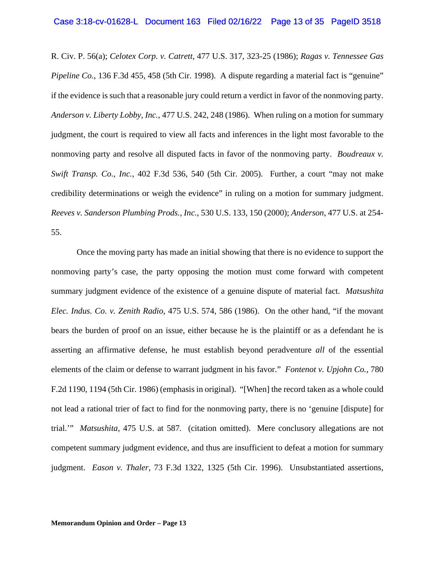R. Civ. P. 56(a); *Celotex Corp. v. Catrett*, 477 U.S. 317, 323-25 (1986); *Ragas v. Tennessee Gas Pipeline Co.*, 136 F.3d 455, 458 (5th Cir. 1998). A dispute regarding a material fact is "genuine" if the evidence is such that a reasonable jury could return a verdict in favor of the nonmoving party. *Anderson v. Liberty Lobby, Inc.*, 477 U.S. 242, 248 (1986). When ruling on a motion for summary judgment, the court is required to view all facts and inferences in the light most favorable to the nonmoving party and resolve all disputed facts in favor of the nonmoving party. *Boudreaux v. Swift Transp. Co., Inc.*, 402 F.3d 536, 540 (5th Cir. 2005). Further, a court "may not make credibility determinations or weigh the evidence" in ruling on a motion for summary judgment. *Reeves v. Sanderson Plumbing Prods., Inc.*, 530 U.S. 133, 150 (2000); *Anderson*, 477 U.S. at 254- 55.

Once the moving party has made an initial showing that there is no evidence to support the nonmoving party's case, the party opposing the motion must come forward with competent summary judgment evidence of the existence of a genuine dispute of material fact. *Matsushita Elec. Indus. Co. v. Zenith Radio*, 475 U.S. 574, 586 (1986). On the other hand, "if the movant bears the burden of proof on an issue, either because he is the plaintiff or as a defendant he is asserting an affirmative defense, he must establish beyond peradventure *all* of the essential elements of the claim or defense to warrant judgment in his favor." *Fontenot v. Upjohn Co.*, 780 F.2d 1190, 1194 (5th Cir. 1986) (emphasis in original). "[When] the record taken as a whole could not lead a rational trier of fact to find for the nonmoving party, there is no 'genuine [dispute] for trial.'" *Matsushita*, 475 U.S. at 587*.* (citation omitted). Mere conclusory allegations are not competent summary judgment evidence, and thus are insufficient to defeat a motion for summary judgment. *Eason v. Thaler*, 73 F.3d 1322, 1325 (5th Cir. 1996). Unsubstantiated assertions,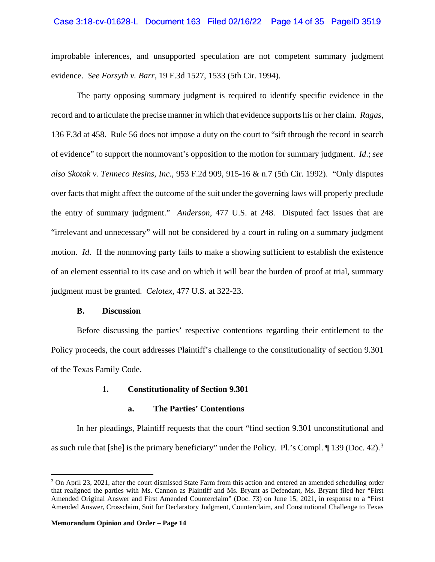# Case 3:18-cv-01628-L Document 163 Filed 02/16/22 Page 14 of 35 PageID 3519

improbable inferences, and unsupported speculation are not competent summary judgment evidence. *See Forsyth v. Barr*, 19 F.3d 1527, 1533 (5th Cir. 1994).

The party opposing summary judgment is required to identify specific evidence in the record and to articulate the precise manner in which that evidence supports his or her claim. *Ragas*, 136 F.3d at 458. Rule 56 does not impose a duty on the court to "sift through the record in search of evidence" to support the nonmovant's opposition to the motion for summary judgment. *Id*.; *see also Skotak v. Tenneco Resins, Inc.*, 953 F.2d 909, 915-16 & n.7 (5th Cir. 1992). "Only disputes over facts that might affect the outcome of the suit under the governing laws will properly preclude the entry of summary judgment." *Anderson*, 477 U.S. at 248. Disputed fact issues that are "irrelevant and unnecessary" will not be considered by a court in ruling on a summary judgment motion. *Id*. If the nonmoving party fails to make a showing sufficient to establish the existence of an element essential to its case and on which it will bear the burden of proof at trial, summary judgment must be granted. *Celotex*, 477 U.S. at 322-23.

# **B. Discussion**

Before discussing the parties' respective contentions regarding their entitlement to the Policy proceeds, the court addresses Plaintiff's challenge to the constitutionality of section 9.301 of the Texas Family Code.

# **1. Constitutionality of Section 9.301**

### **a. The Parties' Contentions**

In her pleadings, Plaintiff requests that the court "find section 9.301 unconstitutional and as such rule that [she] is the primary beneficiary" under the Policy. Pl.'s Compl.  $\P$  1[3](#page-13-0)9 (Doc. 42).<sup>3</sup>

<span id="page-13-0"></span><sup>3</sup> On April 23, 2021, after the court dismissed State Farm from this action and entered an amended scheduling order that realigned the parties with Ms. Cannon as Plaintiff and Ms. Bryant as Defendant, Ms. Bryant filed her "First Amended Original Answer and First Amended Counterclaim" (Doc. 73) on June 15, 2021, in response to a "First Amended Answer, Crossclaim, Suit for Declaratory Judgment, Counterclaim, and Constitutional Challenge to Texas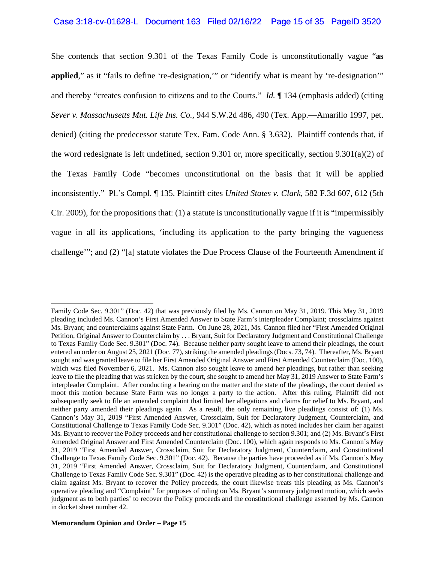She contends that section 9.301 of the Texas Family Code is unconstitutionally vague "**as applied**," as it "fails to define 're-designation," or "identify what is meant by 're-designation'" and thereby "creates confusion to citizens and to the Courts." *Id.* ¶ 134 (emphasis added) (citing *Sever v. Massachusetts Mut. Life Ins. Co.*, 944 S.W.2d 486, 490 (Tex. App.—Amarillo 1997, pet. denied) (citing the predecessor statute Tex. Fam. Code Ann. § 3.632). Plaintiff contends that, if the word redesignate is left undefined, section 9.301 or, more specifically, section 9.301(a)(2) of the Texas Family Code "becomes unconstitutional on the basis that it will be applied inconsistently." Pl.'s Compl. ¶ 135. Plaintiff cites *United States v. Clark*, 582 F.3d 607, 612 (5th Cir. 2009), for the propositions that: (1) a statute is unconstitutionally vague if it is "impermissibly vague in all its applications, 'including its application to the party bringing the vagueness challenge'"; and (2) "[a] statute violates the Due Process Clause of the Fourteenth Amendment if

Family Code Sec. 9.301" (Doc. 42) that was previously filed by Ms. Cannon on May 31, 2019. This May 31, 2019 pleading included Ms. Cannon's First Amended Answer to State Farm's interpleader Complaint; crossclaims against Ms. Bryant; and counterclaims against State Farm. On June 28, 2021, Ms. Cannon filed her "First Amended Original Petition, Original Answer to Counterclaim by . . . Bryant, Suit for Declaratory Judgment and Constitutional Challenge to Texas Family Code Sec. 9.301" (Doc. 74). Because neither party sought leave to amend their pleadings, the court entered an order on August 25, 2021 (Doc. 77), striking the amended pleadings (Docs. 73, 74). Thereafter, Ms. Bryant sought and was granted leave to file her First Amended Original Answer and First Amended Counterclaim (Doc. 100), which was filed November 6, 2021. Ms. Cannon also sought leave to amend her pleadings, but rather than seeking leave to file the pleading that was stricken by the court, she sought to amend her May 31, 2019 Answer to State Farm's interpleader Complaint. After conducting a hearing on the matter and the state of the pleadings, the court denied as moot this motion because State Farm was no longer a party to the action. After this ruling, Plaintiff did not subsequently seek to file an amended complaint that limited her allegations and claims for relief to Ms. Bryant, and neither party amended their pleadings again. As a result, the only remaining live pleadings consist of: (1) Ms. Cannon's May 31, 2019 "First Amended Answer, Crossclaim, Suit for Declaratory Judgment, Counterclaim, and Constitutional Challenge to Texas Family Code Sec. 9.301" (Doc. 42), which as noted includes her claim her against Ms. Bryant to recover the Policy proceeds and her constitutional challenge to section 9.301; and (2) Ms. Bryant's First Amended Original Answer and First Amended Counterclaim (Doc. 100), which again responds to Ms. Cannon's May 31, 2019 "First Amended Answer, Crossclaim, Suit for Declaratory Judgment, Counterclaim, and Constitutional Challenge to Texas Family Code Sec. 9.301" (Doc. 42). Because the parties have proceeded as if Ms. Cannon's May 31, 2019 "First Amended Answer, Crossclaim, Suit for Declaratory Judgment, Counterclaim, and Constitutional Challenge to Texas Family Code Sec. 9.301" (Doc. 42) is the operative pleading as to her constitutional challenge and claim against Ms. Bryant to recover the Policy proceeds, the court likewise treats this pleading as Ms. Cannon's operative pleading and "Complaint" for purposes of ruling on Ms. Bryant's summary judgment motion, which seeks judgment as to both parties' to recover the Policy proceeds and the constitutional challenge asserted by Ms. Cannon in docket sheet number 42.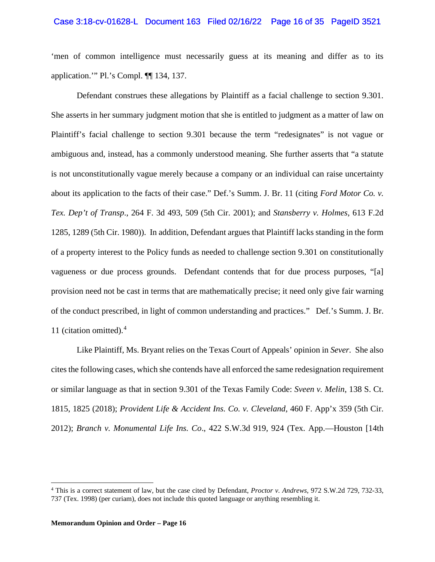### Case 3:18-cv-01628-L Document 163 Filed 02/16/22 Page 16 of 35 PageID 3521

'men of common intelligence must necessarily guess at its meaning and differ as to its application.'" Pl.'s Compl. ¶¶ 134, 137.

Defendant construes these allegations by Plaintiff as a facial challenge to section 9.301. She asserts in her summary judgment motion that she is entitled to judgment as a matter of law on Plaintiff's facial challenge to section 9.301 because the term "redesignates" is not vague or ambiguous and, instead, has a commonly understood meaning. She further asserts that "a statute is not unconstitutionally vague merely because a company or an individual can raise uncertainty about its application to the facts of their case." Def.'s Summ. J. Br. 11 (citing *Ford Motor Co. v. Tex. Dep't of Transp*., 264 F. 3d 493, 509 (5th Cir. 2001); and *Stansberry v. Holmes*, 613 F.2d 1285, 1289 (5th Cir. 1980)). In addition, Defendant argues that Plaintiff lacks standing in the form of a property interest to the Policy funds as needed to challenge section 9.301 on constitutionally vagueness or due process grounds. Defendant contends that for due process purposes, "[a] provision need not be cast in terms that are mathematically precise; it need only give fair warning of the conduct prescribed, in light of common understanding and practices." Def.'s Summ. J. Br. 11 (citation omitted).[4](#page-15-0)

Like Plaintiff, Ms. Bryant relies on the Texas Court of Appeals' opinion in *Sever.* She also cites the following cases, which she contends have all enforced the same redesignation requirement or similar language as that in section 9.301 of the Texas Family Code: *Sveen v. Melin*, 138 S. Ct. 1815, 1825 (2018); *Provident Life & Accident Ins. Co. v. Cleveland*, 460 F. App'x 359 (5th Cir. 2012); *Branch v. Monumental Life Ins. Co*., 422 S.W.3d 919, 924 (Tex. App.—Houston [14th

<span id="page-15-0"></span><sup>4</sup> This is a correct statement of law, but the case cited by Defendant, *Proctor v. Andrews*, 972 S.W.2d 729, 732-33, 737 (Tex. 1998) (per curiam), does not include this quoted language or anything resembling it.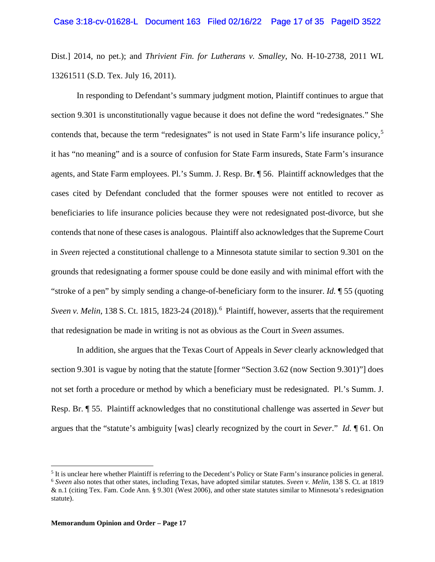Dist.] 2014, no pet.); and *Thrivient Fin. for Lutherans v. Smalley*, No. H-10-2738, 2011 WL 13261511 (S.D. Tex. July 16, 2011).

In responding to Defendant's summary judgment motion, Plaintiff continues to argue that section 9.301 is unconstitutionally vague because it does not define the word "redesignates." She contends that, because the term "redesignates" is not used in State Farm's life insurance policy,<sup>[5](#page-16-0)</sup> it has "no meaning" and is a source of confusion for State Farm insureds, State Farm's insurance agents, and State Farm employees. Pl.'s Summ. J. Resp. Br. ¶ 56. Plaintiff acknowledges that the cases cited by Defendant concluded that the former spouses were not entitled to recover as beneficiaries to life insurance policies because they were not redesignated post-divorce, but she contends that none of these cases is analogous. Plaintiff also acknowledges that the Supreme Court in *Sveen* rejected a constitutional challenge to a Minnesota statute similar to section 9.301 on the grounds that redesignating a former spouse could be done easily and with minimal effort with the "stroke of a pen" by simply sending a change-of-beneficiary form to the insurer. *Id.* ¶ 55 (quoting Sveen v. Melin, 138 S. Ct. 1815, 1823-24 (2018)).<sup>[6](#page-16-1)</sup> Plaintiff, however, asserts that the requirement that redesignation be made in writing is not as obvious as the Court in *Sveen* assumes.

In addition, she argues that the Texas Court of Appeals in *Sever* clearly acknowledged that section 9.301 is vague by noting that the statute [former "Section 3.62 (now Section 9.301)"] does not set forth a procedure or method by which a beneficiary must be redesignated. Pl.'s Summ. J. Resp. Br. ¶ 55. Plaintiff acknowledges that no constitutional challenge was asserted in *Sever* but argues that the "statute's ambiguity [was] clearly recognized by the court in *Sever*." *Id.* ¶ 61. On

<span id="page-16-1"></span><span id="page-16-0"></span><sup>&</sup>lt;sup>5</sup> It is unclear here whether Plaintiff is referring to the Decedent's Policy or State Farm's insurance policies in general. <sup>6</sup> *Sveen* also notes that other states, including Texas, have adopted similar statutes. *Sveen v. Melin*, 138 S. Ct. at 1819 & n.1 (citing Tex. Fam. Code Ann. § 9.301 (West 2006), and other state statutes similar to Minnesota's redesignation statute).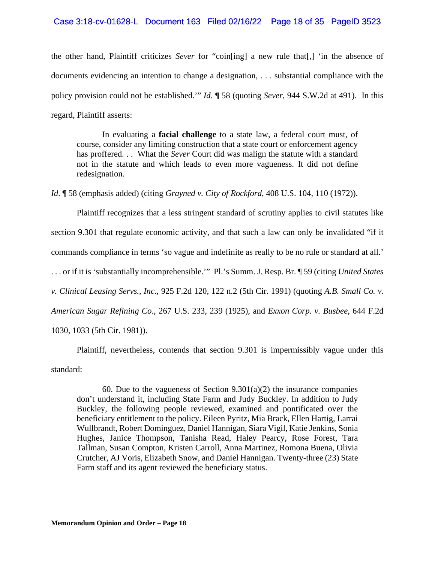# Case 3:18-cv-01628-L Document 163 Filed 02/16/22 Page 18 of 35 PageID 3523

the other hand, Plaintiff criticizes *Sever* for "coin[ing] a new rule that[,] 'in the absence of documents evidencing an intention to change a designation, . . . substantial compliance with the policy provision could not be established.'" *Id*. ¶ 58 (quoting *Sever*, 944 S.W.2d at 491). In this regard, Plaintiff asserts:

In evaluating a **facial challenge** to a state law, a federal court must, of course, consider any limiting construction that a state court or enforcement agency has proffered. . . What the *Sever* Court did was malign the statute with a standard not in the statute and which leads to even more vagueness. It did not define redesignation.

*Id*. ¶ 58 (emphasis added) (citing *Grayned v. City of Rockford*, 408 U.S. 104, 110 (1972)).

Plaintiff recognizes that a less stringent standard of scrutiny applies to civil statutes like section 9.301 that regulate economic activity, and that such a law can only be invalidated "if it commands compliance in terms 'so vague and indefinite as really to be no rule or standard at all.' . . . or if it is 'substantially incomprehensible.'" Pl.'s Summ. J. Resp. Br. ¶ 59 (citing *United States v. Clinical Leasing Servs., Inc*., 925 F.2d 120, 122 n.2 (5th Cir. 1991) (quoting *A.B. Small Co. v. American Sugar Refining Co*., 267 U.S. 233, 239 (1925), and *Exxon Corp. v. Busbee*, 644 F.2d 1030, 1033 (5th Cir. 1981)).

Plaintiff, nevertheless, contends that section 9.301 is impermissibly vague under this standard:

60. Due to the vagueness of Section  $9.301(a)(2)$  the insurance companies don't understand it, including State Farm and Judy Buckley. In addition to Judy Buckley, the following people reviewed, examined and pontificated over the beneficiary entitlement to the policy. Eileen Pyritz, Mia Brack, Ellen Hartig, Larrai Wullbrandt, Robert Dominguez, Daniel Hannigan, Siara Vigil, Katie Jenkins, Sonia Hughes, Janice Thompson, Tanisha Read, Haley Pearcy, Rose Forest, Tara Tallman, Susan Compton, Kristen Carroll, Anna Martinez, Romona Buena, Olivia Crutcher, AJ Voris, Elizabeth Snow, and Daniel Hannigan. Twenty-three (23) State Farm staff and its agent reviewed the beneficiary status.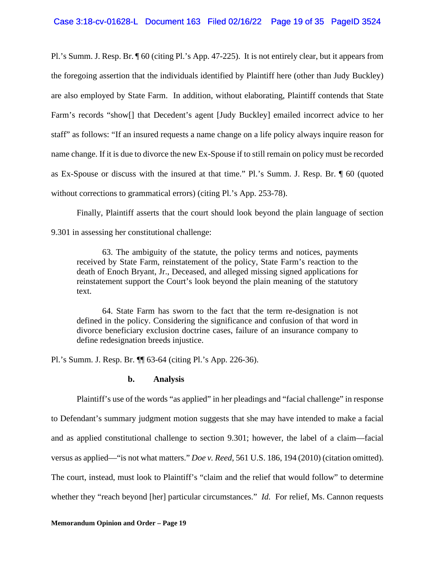Pl.'s Summ. J. Resp. Br. ¶ 60 (citing Pl.'s App. 47-225). It is not entirely clear, but it appears from the foregoing assertion that the individuals identified by Plaintiff here (other than Judy Buckley) are also employed by State Farm. In addition, without elaborating, Plaintiff contends that State Farm's records "show[] that Decedent's agent [Judy Buckley] emailed incorrect advice to her staff" as follows: "If an insured requests a name change on a life policy always inquire reason for name change. If it is due to divorce the new Ex-Spouse if to still remain on policy must be recorded as Ex-Spouse or discuss with the insured at that time." Pl.'s Summ. J. Resp. Br. ¶ 60 (quoted without corrections to grammatical errors) (citing Pl.'s App. 253-78).

Finally, Plaintiff asserts that the court should look beyond the plain language of section

9.301 in assessing her constitutional challenge:

63. The ambiguity of the statute, the policy terms and notices, payments received by State Farm, reinstatement of the policy, State Farm's reaction to the death of Enoch Bryant, Jr., Deceased, and alleged missing signed applications for reinstatement support the Court's look beyond the plain meaning of the statutory text.

64. State Farm has sworn to the fact that the term re-designation is not defined in the policy. Considering the significance and confusion of that word in divorce beneficiary exclusion doctrine cases, failure of an insurance company to define redesignation breeds injustice.

Pl.'s Summ. J. Resp. Br. ¶¶ 63-64 (citing Pl.'s App. 226-36).

### **b. Analysis**

Plaintiff's use of the words "as applied" in her pleadings and "facial challenge" in response to Defendant's summary judgment motion suggests that she may have intended to make a facial and as applied constitutional challenge to section 9.301; however, the label of a claim—facial versus as applied—"is not what matters." *Doe v. Reed*, 561 U.S. 186, 194 (2010) (citation omitted). The court, instead, must look to Plaintiff's "claim and the relief that would follow" to determine whether they "reach beyond [her] particular circumstances." *Id.* For relief, Ms. Cannon requests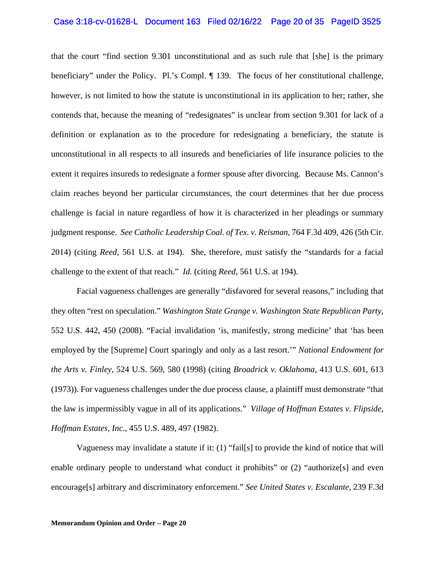### Case 3:18-cv-01628-L Document 163 Filed 02/16/22 Page 20 of 35 PageID 3525

that the court "find section 9.301 unconstitutional and as such rule that [she] is the primary beneficiary" under the Policy. Pl.'s Compl. ¶ 139. The focus of her constitutional challenge, however, is not limited to how the statute is unconstitutional in its application to her; rather, she contends that, because the meaning of "redesignates" is unclear from section 9.301 for lack of a definition or explanation as to the procedure for redesignating a beneficiary, the statute is unconstitutional in all respects to all insureds and beneficiaries of life insurance policies to the extent it requires insureds to redesignate a former spouse after divorcing. Because Ms. Cannon's claim reaches beyond her particular circumstances, the court determines that her due process challenge is facial in nature regardless of how it is characterized in her pleadings or summary judgment response. *See Catholic Leadership Coal. of Tex. v. Reisman*, 764 F.3d 409, 426 (5th Cir. 2014) (citing *Reed*, 561 U.S. at 194). She, therefore, must satisfy the "standards for a facial challenge to the extent of that reach." *Id.* (citing *Reed*, 561 U.S. at 194).

Facial vagueness challenges are generally "disfavored for several reasons," including that they often "rest on speculation." *Washington State Grange v. Washington State Republican Party*, 552 U.S. 442, 450 (2008). "Facial invalidation 'is, manifestly, strong medicine' that 'has been employed by the [Supreme] Court sparingly and only as a last resort.'" *National Endowment for the Arts v. Finley*, 524 U.S. 569, 580 (1998) (citing *Broadrick v. Oklahoma*, 413 U.S. 601, 613 (1973)). For vagueness challenges under the due process clause, a plaintiff must demonstrate "that the law is impermissibly vague in all of its applications." *Village of Hoffman Estates v. Flipside, Hoffman Estates, Inc*., 455 U.S. 489, 497 (1982).

Vagueness may invalidate a statute if it: (1) "fail[s] to provide the kind of notice that will enable ordinary people to understand what conduct it prohibits" or (2) "authorize<sup>[5]</sup> and even encourage[s] arbitrary and discriminatory enforcement." *See United States v. Escalante*, 239 F.3d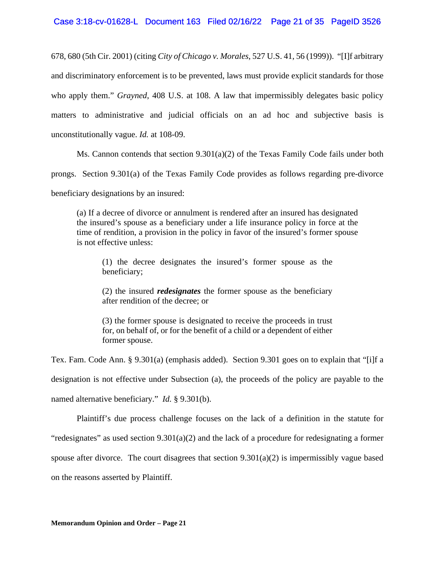678, 680 (5th Cir. 2001) (citing *City of Chicago v. Morales*, 527 U.S. 41, 56 (1999)). "[I]f arbitrary and discriminatory enforcement is to be prevented, laws must provide explicit standards for those who apply them." *Grayned*, 408 U.S. at 108. A law that impermissibly delegates basic policy matters to administrative and judicial officials on an ad hoc and subjective basis is unconstitutionally vague. *Id.* at 108-09.

Ms. Cannon contends that section 9.301(a)(2) of the Texas Family Code fails under both

prongs. Section 9.301(a) of the Texas Family Code provides as follows regarding pre-divorce

beneficiary designations by an insured:

(a) If a decree of divorce or annulment is rendered after an insured has designated the insured's spouse as a beneficiary under a life insurance policy in force at the time of rendition, a provision in the policy in favor of the insured's former spouse is not effective unless:

(1) the decree designates the insured's former spouse as the beneficiary;

(2) the insured *redesignates* the former spouse as the beneficiary after rendition of the decree; or

(3) the former spouse is designated to receive the proceeds in trust for, on behalf of, or for the benefit of a child or a dependent of either former spouse.

Tex. Fam. Code Ann. § 9.301(a) (emphasis added). Section 9.301 goes on to explain that "[i]f a designation is not effective under Subsection (a), the proceeds of the policy are payable to the named alternative beneficiary." *Id.* § 9.301(b).

Plaintiff's due process challenge focuses on the lack of a definition in the statute for "redesignates" as used section  $9.301(a)(2)$  and the lack of a procedure for redesignating a former spouse after divorce. The court disagrees that section  $9.301(a)(2)$  is impermissibly vague based on the reasons asserted by Plaintiff.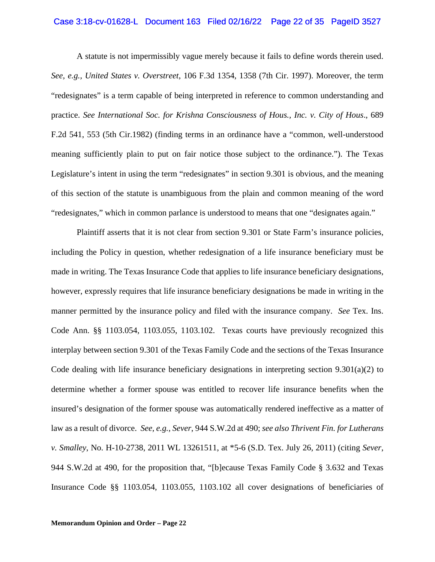### Case 3:18-cv-01628-L Document 163 Filed 02/16/22 Page 22 of 35 PageID 3527

A statute is not impermissibly vague merely because it fails to define words therein used. *See, e.g., United States v. Overstreet*, 106 F.3d 1354, 1358 (7th Cir. 1997). Moreover, the term "redesignates" is a term capable of being interpreted in reference to common understanding and practice. *See International Soc. for Krishna Consciousness of Hous., Inc. v. City of Hous*., 689 F.2d 541, 553 (5th Cir.1982) (finding terms in an ordinance have a "common, well-understood meaning sufficiently plain to put on fair notice those subject to the ordinance."). The Texas Legislature's intent in using the term "redesignates" in section 9.301 is obvious, and the meaning of this section of the statute is unambiguous from the plain and common meaning of the word "redesignates," which in common parlance is understood to means that one "designates again."

Plaintiff asserts that it is not clear from section 9.301 or State Farm's insurance policies, including the Policy in question, whether redesignation of a life insurance beneficiary must be made in writing. The Texas Insurance Code that applies to life insurance beneficiary designations, however, expressly requires that life insurance beneficiary designations be made in writing in the manner permitted by the insurance policy and filed with the insurance company. *See* Tex. Ins. Code Ann. §§ 1103.054, 1103.055, 1103.102. Texas courts have previously recognized this interplay between section 9.301 of the Texas Family Code and the sections of the Texas Insurance Code dealing with life insurance beneficiary designations in interpreting section  $9.301(a)(2)$  to determine whether a former spouse was entitled to recover life insurance benefits when the insured's designation of the former spouse was automatically rendered ineffective as a matter of law as a result of divorce. *See, e.g., Sever*, 944 S.W.2d at 490; *see also Thrivent Fin. for Lutherans v. Smalley*, No. H-10-2738, 2011 WL 13261511, at \*5-6 (S.D. Tex. July 26, 2011) (citing *Sever*, 944 S.W.2d at 490, for the proposition that, "[b]ecause Texas Family Code § 3.632 and Texas Insurance Code §§ 1103.054, 1103.055, 1103.102 all cover designations of beneficiaries of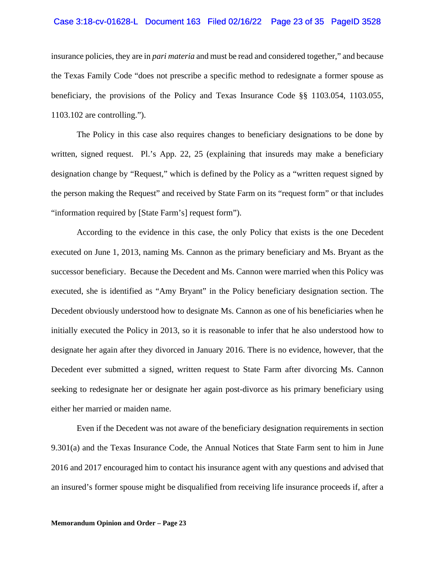### Case 3:18-cv-01628-L Document 163 Filed 02/16/22 Page 23 of 35 PageID 3528

insurance policies, they are in *pari materia* and must be read and considered together," and because the Texas Family Code "does not prescribe a specific method to redesignate a former spouse as beneficiary, the provisions of the Policy and Texas Insurance Code §§ 1103.054, 1103.055, 1103.102 are controlling.").

The Policy in this case also requires changes to beneficiary designations to be done by written, signed request. Pl.'s App. 22, 25 (explaining that insureds may make a beneficiary designation change by "Request," which is defined by the Policy as a "written request signed by the person making the Request" and received by State Farm on its "request form" or that includes "information required by [State Farm's] request form").

According to the evidence in this case, the only Policy that exists is the one Decedent executed on June 1, 2013, naming Ms. Cannon as the primary beneficiary and Ms. Bryant as the successor beneficiary. Because the Decedent and Ms. Cannon were married when this Policy was executed, she is identified as "Amy Bryant" in the Policy beneficiary designation section. The Decedent obviously understood how to designate Ms. Cannon as one of his beneficiaries when he initially executed the Policy in 2013, so it is reasonable to infer that he also understood how to designate her again after they divorced in January 2016. There is no evidence, however, that the Decedent ever submitted a signed, written request to State Farm after divorcing Ms. Cannon seeking to redesignate her or designate her again post-divorce as his primary beneficiary using either her married or maiden name.

Even if the Decedent was not aware of the beneficiary designation requirements in section 9.301(a) and the Texas Insurance Code, the Annual Notices that State Farm sent to him in June 2016 and 2017 encouraged him to contact his insurance agent with any questions and advised that an insured's former spouse might be disqualified from receiving life insurance proceeds if, after a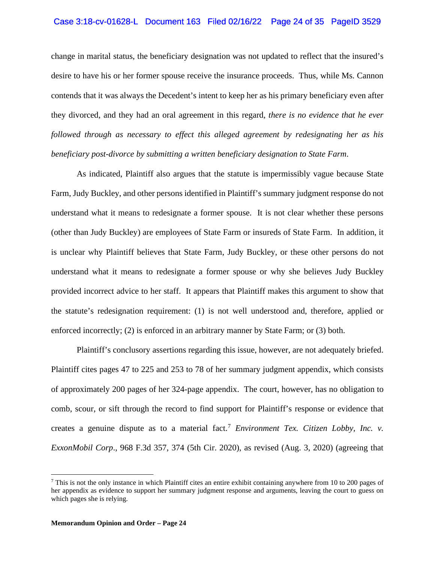# Case 3:18-cv-01628-L Document 163 Filed 02/16/22 Page 24 of 35 PageID 3529

change in marital status, the beneficiary designation was not updated to reflect that the insured's desire to have his or her former spouse receive the insurance proceeds. Thus, while Ms. Cannon contends that it was always the Decedent's intent to keep her as his primary beneficiary even after they divorced, and they had an oral agreement in this regard, *there is no evidence that he ever followed through as necessary to effect this alleged agreement by redesignating her as his beneficiary post-divorce by submitting a written beneficiary designation to State Farm*.

As indicated, Plaintiff also argues that the statute is impermissibly vague because State Farm, Judy Buckley, and other persons identified in Plaintiff's summary judgment response do not understand what it means to redesignate a former spouse. It is not clear whether these persons (other than Judy Buckley) are employees of State Farm or insureds of State Farm. In addition, it is unclear why Plaintiff believes that State Farm, Judy Buckley, or these other persons do not understand what it means to redesignate a former spouse or why she believes Judy Buckley provided incorrect advice to her staff. It appears that Plaintiff makes this argument to show that the statute's redesignation requirement: (1) is not well understood and, therefore, applied or enforced incorrectly; (2) is enforced in an arbitrary manner by State Farm; or (3) both.

Plaintiff's conclusory assertions regarding this issue, however, are not adequately briefed. Plaintiff cites pages 47 to 225 and 253 to 78 of her summary judgment appendix, which consists of approximately 200 pages of her 324-page appendix. The court, however, has no obligation to comb, scour, or sift through the record to find support for Plaintiff's response or evidence that creates a genuine dispute as to a material fact.<sup>[7](#page-23-0)</sup> *Environment Tex. Citizen Lobby, Inc. v. ExxonMobil Corp*., 968 F.3d 357, 374 (5th Cir. 2020), as revised (Aug. 3, 2020) (agreeing that

<span id="page-23-0"></span> $^7$  This is not the only instance in which Plaintiff cites an entire exhibit containing anywhere from 10 to 200 pages of her appendix as evidence to support her summary judgment response and arguments, leaving the court to guess on which pages she is relying.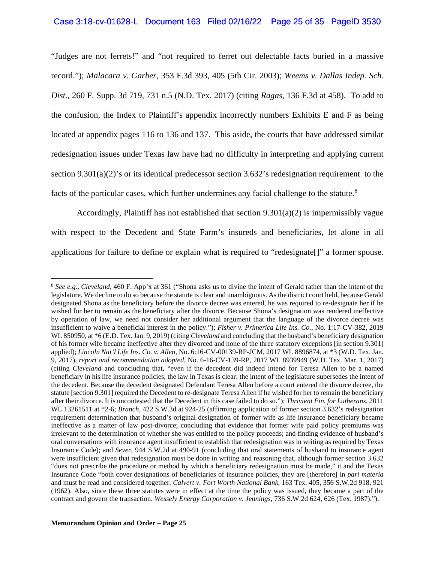## Case 3:18-cv-01628-L Document 163 Filed 02/16/22 Page 25 of 35 PageID 3530

"Judges are not ferrets!" and "not required to ferret out delectable facts buried in a massive record."); *Malacara v. Garber*, 353 F.3d 393, 405 (5th Cir. 2003); *Weems v. Dallas Indep. Sch. Dist*., 260 F. Supp. 3d 719, 731 n.5 (N.D. Tex. 2017) (citing *Ragas*, 136 F.3d at 458). To add to the confusion, the Index to Plaintiff's appendix incorrectly numbers Exhibits E and F as being located at appendix pages 116 to 136 and 137. This aside, the courts that have addressed similar redesignation issues under Texas law have had no difficulty in interpreting and applying current section 9.301(a)(2)'s or its identical predecessor section 3.632's redesignation requirement to the facts of the particular cases, which further undermines any facial challenge to the statute.<sup>[8](#page-24-0)</sup>

Accordingly, Plaintiff has not established that section  $9.301(a)(2)$  is impermissibly vague with respect to the Decedent and State Farm's insureds and beneficiaries, let alone in all applications for failure to define or explain what is required to "redesignate[]" a former spouse.

<span id="page-24-0"></span><sup>8</sup> *See e.g., Cleveland*, 460 F. App'x at 361 ("Shona asks us to divine the intent of Gerald rather than the intent of the legislature. We decline to do so because the statute is clear and unambiguous. As the district court held, because Gerald designated Shona as the beneficiary before the divorce decree was entered, he was required to re-designate her if he wished for her to remain as the beneficiary after the divorce. Because Shona's designation was rendered ineffective by operation of law, we need not consider her additional argument that the language of the divorce decree was insufficient to waive a beneficial interest in the policy."); *Fisher v. Primerica Life Ins. Co.*, No. 1:17-CV-382, 2019 WL 850950, at \*6 (E.D. Tex. Jan. 9, 2019) (citing *Cleveland* and concluding that the husband's beneficiary designation of his former wife became ineffective after they divorced and none of the three statutory exceptions [in section 9.301] applied); *Lincoln Nat'l Life Ins. Co. v. Allen*, No. 6:16-CV-00139-RP-JCM, 2017 WL 8896874, at \*3 (W.D. Tex. Jan. 9, 2017), *report and recommendation adopted*, No. 6-16-CV-139-RP, 2017 WL 8939949 (W.D. Tex. Mar. 1, 2017) (citing *Cleveland* and concluding that, "even if the decedent did indeed intend for Teresa Allen to be a named beneficiary in his life insurance policies, the law in Texas is clear: the intent of the legislature supersedes the intent of the decedent. Because the decedent designated Defendant Teresa Allen before a court entered the divorce decree, the statute [section 9.301] required the Decedent to re-designate Teresa Allen if he wished for her to remain the beneficiary after their divorce. It is uncontested that the Decedent in this case failed to do so."); *Thrivient Fin. for Lutherans*, 2011 WL 13261511 at \*2-6; *Branch*, 422 S.W.3d at 924-25 (affirming application of former section 3.632's redesignation requirement determination that husband's original designation of former wife as life insurance beneficiary became ineffective as a matter of law post-divorce; concluding that evidence that former wife paid policy premiums was irrelevant to the determination of whether she was entitled to the policy proceeds; and finding evidence of husband's oral conversations with insurance agent insufficient to establish that redesignation was in writing as required by Texas Insurance Code); and *Sever*, 944 S.W.2d at 490-91 (concluding that oral statements of husband to insurance agent were insufficient given that redesignation must be done in writing and reasoning that, although former section 3.632 "does not prescribe the procedure or method by which a beneficiary redesignation must be made," it and the Texas Insurance Code "both cover designations of beneficiaries of insurance policies, they are [therefore] in *pari materia* and must be read and considered together. *Calvert v. Fort Worth National Bank*, 163 Tex. 405, 356 S.W.2d 918, 921 (1962). Also, since these three statutes were in effect at the time the policy was issued, they became a part of the contract and govern the transaction. *Wessely Energy Corporation v. Jennings*, 736 S.W.2d 624, 626 (Tex. 1987).").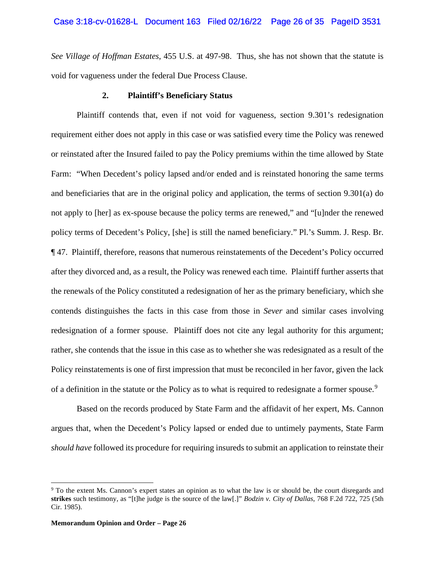*See Village of Hoffman Estates*, 455 U.S. at 497-98. Thus, she has not shown that the statute is void for vagueness under the federal Due Process Clause.

# **2. Plaintiff's Beneficiary Status**

Plaintiff contends that, even if not void for vagueness, section 9.301's redesignation requirement either does not apply in this case or was satisfied every time the Policy was renewed or reinstated after the Insured failed to pay the Policy premiums within the time allowed by State Farm: "When Decedent's policy lapsed and/or ended and is reinstated honoring the same terms and beneficiaries that are in the original policy and application, the terms of section 9.301(a) do not apply to [her] as ex-spouse because the policy terms are renewed," and "[u]nder the renewed policy terms of Decedent's Policy, [she] is still the named beneficiary." Pl.'s Summ. J. Resp. Br. ¶ 47. Plaintiff, therefore, reasons that numerous reinstatements of the Decedent's Policy occurred after they divorced and, as a result, the Policy was renewed each time. Plaintiff further asserts that the renewals of the Policy constituted a redesignation of her as the primary beneficiary, which she contends distinguishes the facts in this case from those in *Sever* and similar cases involving redesignation of a former spouse. Plaintiff does not cite any legal authority for this argument; rather, she contends that the issue in this case as to whether she was redesignated as a result of the Policy reinstatements is one of first impression that must be reconciled in her favor, given the lack of a definition in the statute or the Policy as to what is required to redesignate a former spouse.<sup>[9](#page-25-0)</sup>

Based on the records produced by State Farm and the affidavit of her expert, Ms. Cannon argues that, when the Decedent's Policy lapsed or ended due to untimely payments, State Farm *should have* followed its procedure for requiring insureds to submit an application to reinstate their

<span id="page-25-0"></span><sup>&</sup>lt;sup>9</sup> To the extent Ms. Cannon's expert states an opinion as to what the law is or should be, the court disregards and **strikes** such testimony, as "[t]he judge is the source of the law[.]" *Bodzin v. City of Dallas*, 768 F.2d 722, 725 (5th Cir. 1985).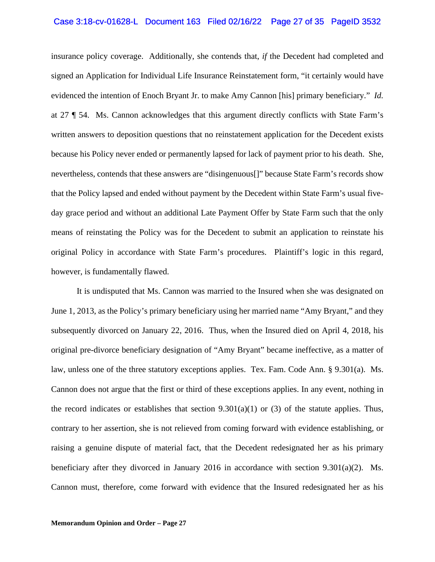### Case 3:18-cv-01628-L Document 163 Filed 02/16/22 Page 27 of 35 PageID 3532

insurance policy coverage. Additionally, she contends that, *if* the Decedent had completed and signed an Application for Individual Life Insurance Reinstatement form, "it certainly would have evidenced the intention of Enoch Bryant Jr. to make Amy Cannon [his] primary beneficiary." *Id.* at 27 ¶ 54. Ms. Cannon acknowledges that this argument directly conflicts with State Farm's written answers to deposition questions that no reinstatement application for the Decedent exists because his Policy never ended or permanently lapsed for lack of payment prior to his death. She, nevertheless, contends that these answers are "disingenuous[]" because State Farm's records show that the Policy lapsed and ended without payment by the Decedent within State Farm's usual fiveday grace period and without an additional Late Payment Offer by State Farm such that the only means of reinstating the Policy was for the Decedent to submit an application to reinstate his original Policy in accordance with State Farm's procedures. Plaintiff's logic in this regard, however, is fundamentally flawed.

It is undisputed that Ms. Cannon was married to the Insured when she was designated on June 1, 2013, as the Policy's primary beneficiary using her married name "Amy Bryant," and they subsequently divorced on January 22, 2016. Thus, when the Insured died on April 4, 2018, his original pre-divorce beneficiary designation of "Amy Bryant" became ineffective, as a matter of law, unless one of the three statutory exceptions applies. Tex. Fam. Code Ann. § 9.301(a). Ms. Cannon does not argue that the first or third of these exceptions applies. In any event, nothing in the record indicates or establishes that section  $9.301(a)(1)$  or (3) of the statute applies. Thus, contrary to her assertion, she is not relieved from coming forward with evidence establishing, or raising a genuine dispute of material fact, that the Decedent redesignated her as his primary beneficiary after they divorced in January 2016 in accordance with section  $9.301(a)(2)$ . Ms. Cannon must, therefore, come forward with evidence that the Insured redesignated her as his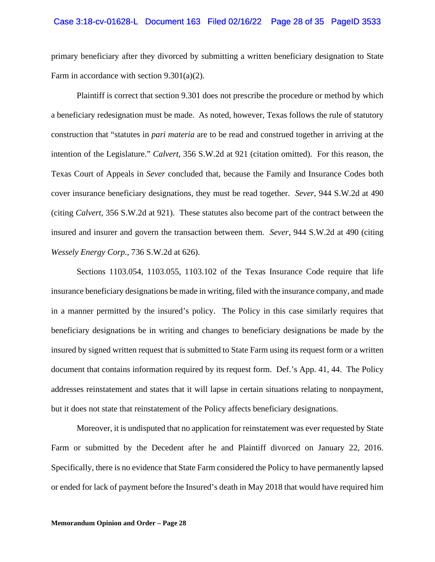### Case 3:18-cv-01628-L Document 163 Filed 02/16/22 Page 28 of 35 PageID 3533

primary beneficiary after they divorced by submitting a written beneficiary designation to State Farm in accordance with section 9.301(a)(2).

Plaintiff is correct that section 9.301 does not prescribe the procedure or method by which a beneficiary redesignation must be made. As noted, however, Texas follows the rule of statutory construction that "statutes in *pari materia* are to be read and construed together in arriving at the intention of the Legislature." *Calvert*, 356 S.W.2d at 921 (citation omitted). For this reason, the Texas Court of Appeals in *Sever* concluded that, because the Family and Insurance Codes both cover insurance beneficiary designations, they must be read together. *Sever*, 944 S.W.2d at 490 (citing *Calvert*, 356 S.W.2d at 921). These statutes also become part of the contract between the insured and insurer and govern the transaction between them. *Sever*, 944 S.W.2d at 490 (citing *Wessely Energy Corp.*, 736 S.W.2d at 626).

Sections 1103.054, 1103.055, 1103.102 of the Texas Insurance Code require that life insurance beneficiary designations be made in writing, filed with the insurance company, and made in a manner permitted by the insured's policy. The Policy in this case similarly requires that beneficiary designations be in writing and changes to beneficiary designations be made by the insured by signed written request that is submitted to State Farm using its request form or a written document that contains information required by its request form. Def.'s App. 41, 44. The Policy addresses reinstatement and states that it will lapse in certain situations relating to nonpayment, but it does not state that reinstatement of the Policy affects beneficiary designations.

Moreover, it is undisputed that no application for reinstatement was ever requested by State Farm or submitted by the Decedent after he and Plaintiff divorced on January 22, 2016. Specifically, there is no evidence that State Farm considered the Policy to have permanently lapsed or ended for lack of payment before the Insured's death in May 2018 that would have required him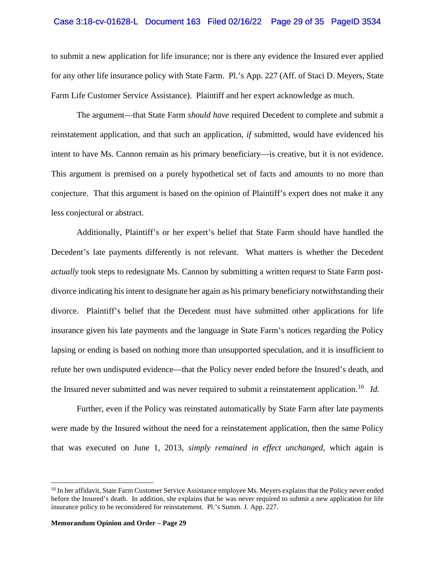### Case 3:18-cv-01628-L Document 163 Filed 02/16/22 Page 29 of 35 PageID 3534

to submit a new application for life insurance; nor is there any evidence the Insured ever applied for any other life insurance policy with State Farm. Pl.'s App. 227 (Aff. of Staci D. Meyers, State Farm Life Customer Service Assistance). Plaintiff and her expert acknowledge as much.

The argument—that State Farm *should have* required Decedent to complete and submit a reinstatement application, and that such an application, *if* submitted, would have evidenced his intent to have Ms. Cannon remain as his primary beneficiary—is creative, but it is not evidence. This argument is premised on a purely hypothetical set of facts and amounts to no more than conjecture. That this argument is based on the opinion of Plaintiff's expert does not make it any less conjectural or abstract.

Additionally, Plaintiff's or her expert's belief that State Farm should have handled the Decedent's late payments differently is not relevant. What matters is whether the Decedent *actually* took steps to redesignate Ms. Cannon by submitting a written request to State Farm postdivorce indicating his intent to designate her again as his primary beneficiary notwithstanding their divorce. Plaintiff's belief that the Decedent must have submitted other applications for life insurance given his late payments and the language in State Farm's notices regarding the Policy lapsing or ending is based on nothing more than unsupported speculation, and it is insufficient to refute her own undisputed evidence—that the Policy never ended before the Insured's death, and the Insured never submitted and was never required to submit a reinstatement application. [10](#page-28-0) *Id.*

Further, even if the Policy was reinstated automatically by State Farm after late payments were made by the Insured without the need for a reinstatement application, then the same Policy that was executed on June 1, 2013, *simply remained in effect unchanged*, which again is

<span id="page-28-0"></span><sup>&</sup>lt;sup>10</sup> In her affidavit, State Farm Customer Service Assistance employee Ms. Meyers explains that the Policy never ended before the Insured's death. In addition, she explains that he was never required to submit a new application for life insurance policy to be reconsidered for reinstatement. Pl.'s Summ. J. App. 227.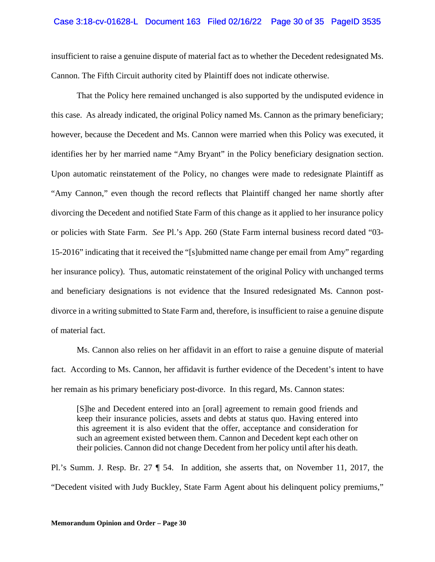### Case 3:18-cv-01628-L Document 163 Filed 02/16/22 Page 30 of 35 PageID 3535

insufficient to raise a genuine dispute of material fact as to whether the Decedent redesignated Ms. Cannon. The Fifth Circuit authority cited by Plaintiff does not indicate otherwise.

That the Policy here remained unchanged is also supported by the undisputed evidence in this case. As already indicated, the original Policy named Ms. Cannon as the primary beneficiary; however, because the Decedent and Ms. Cannon were married when this Policy was executed, it identifies her by her married name "Amy Bryant" in the Policy beneficiary designation section. Upon automatic reinstatement of the Policy, no changes were made to redesignate Plaintiff as "Amy Cannon," even though the record reflects that Plaintiff changed her name shortly after divorcing the Decedent and notified State Farm of this change as it applied to her insurance policy or policies with State Farm. *See* Pl.'s App. 260 (State Farm internal business record dated "03- 15-2016" indicating that it received the "[s]ubmitted name change per email from Amy" regarding her insurance policy). Thus, automatic reinstatement of the original Policy with unchanged terms and beneficiary designations is not evidence that the Insured redesignated Ms. Cannon postdivorce in a writing submitted to State Farm and, therefore, is insufficient to raise a genuine dispute of material fact.

Ms. Cannon also relies on her affidavit in an effort to raise a genuine dispute of material fact. According to Ms. Cannon, her affidavit is further evidence of the Decedent's intent to have her remain as his primary beneficiary post-divorce. In this regard, Ms. Cannon states:

[S]he and Decedent entered into an [oral] agreement to remain good friends and keep their insurance policies, assets and debts at status quo. Having entered into this agreement it is also evident that the offer, acceptance and consideration for such an agreement existed between them. Cannon and Decedent kept each other on their policies. Cannon did not change Decedent from her policy until after his death.

Pl.'s Summ. J. Resp. Br. 27 ¶ 54. In addition, she asserts that, on November 11, 2017, the "Decedent visited with Judy Buckley, State Farm Agent about his delinquent policy premiums,"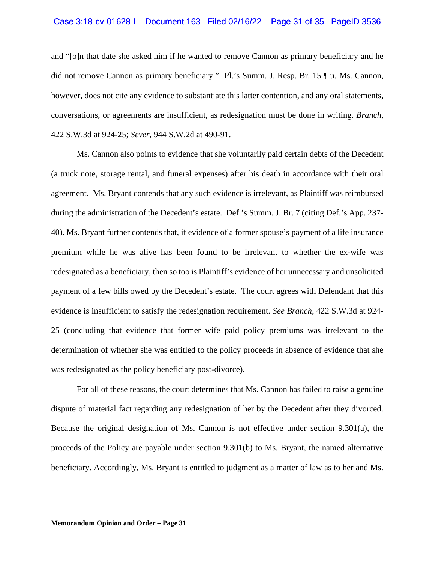#### Case 3:18-cv-01628-L Document 163 Filed 02/16/22 Page 31 of 35 PageID 3536

and "[o]n that date she asked him if he wanted to remove Cannon as primary beneficiary and he did not remove Cannon as primary beneficiary." Pl.'s Summ. J. Resp. Br. 15 ¶ u. Ms. Cannon, however, does not cite any evidence to substantiate this latter contention, and any oral statements, conversations, or agreements are insufficient, as redesignation must be done in writing. *Branch*, 422 S.W.3d at 924-25; *Sever*, 944 S.W.2d at 490-91.

Ms. Cannon also points to evidence that she voluntarily paid certain debts of the Decedent (a truck note, storage rental, and funeral expenses) after his death in accordance with their oral agreement. Ms. Bryant contends that any such evidence is irrelevant, as Plaintiff was reimbursed during the administration of the Decedent's estate. Def.'s Summ. J. Br. 7 (citing Def.'s App. 237- 40). Ms. Bryant further contends that, if evidence of a former spouse's payment of a life insurance premium while he was alive has been found to be irrelevant to whether the ex-wife was redesignated as a beneficiary, then so too is Plaintiff's evidence of her unnecessary and unsolicited payment of a few bills owed by the Decedent's estate. The court agrees with Defendant that this evidence is insufficient to satisfy the redesignation requirement. *See Branch*, 422 S.W.3d at 924- 25 (concluding that evidence that former wife paid policy premiums was irrelevant to the determination of whether she was entitled to the policy proceeds in absence of evidence that she was redesignated as the policy beneficiary post-divorce).

For all of these reasons, the court determines that Ms. Cannon has failed to raise a genuine dispute of material fact regarding any redesignation of her by the Decedent after they divorced. Because the original designation of Ms. Cannon is not effective under section 9.301(a), the proceeds of the Policy are payable under section 9.301(b) to Ms. Bryant, the named alternative beneficiary. Accordingly, Ms. Bryant is entitled to judgment as a matter of law as to her and Ms.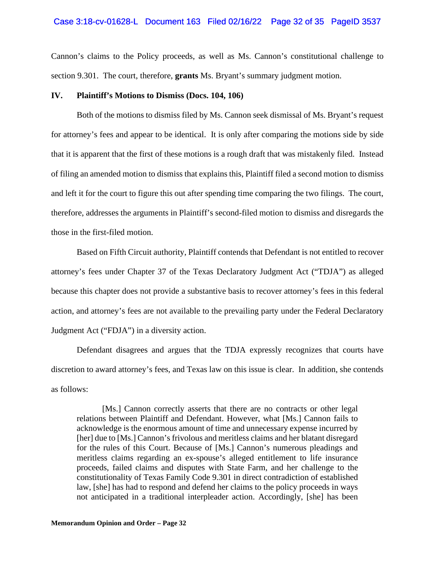#### Case 3:18-cv-01628-L Document 163 Filed 02/16/22 Page 32 of 35 PageID 3537

Cannon's claims to the Policy proceeds, as well as Ms. Cannon's constitutional challenge to section 9.301. The court, therefore, **grants** Ms. Bryant's summary judgment motion.

### **IV. Plaintiff's Motions to Dismiss (Docs. 104, 106)**

Both of the motions to dismiss filed by Ms. Cannon seek dismissal of Ms. Bryant's request for attorney's fees and appear to be identical. It is only after comparing the motions side by side that it is apparent that the first of these motions is a rough draft that was mistakenly filed. Instead of filing an amended motion to dismiss that explains this, Plaintiff filed a second motion to dismiss and left it for the court to figure this out after spending time comparing the two filings. The court, therefore, addresses the arguments in Plaintiff's second-filed motion to dismiss and disregards the those in the first-filed motion.

Based on Fifth Circuit authority, Plaintiff contends that Defendant is not entitled to recover attorney's fees under Chapter 37 of the Texas Declaratory Judgment Act ("TDJA") as alleged because this chapter does not provide a substantive basis to recover attorney's fees in this federal action, and attorney's fees are not available to the prevailing party under the Federal Declaratory Judgment Act ("FDJA") in a diversity action.

Defendant disagrees and argues that the TDJA expressly recognizes that courts have discretion to award attorney's fees, and Texas law on this issue is clear. In addition, she contends as follows:

[Ms.] Cannon correctly asserts that there are no contracts or other legal relations between Plaintiff and Defendant. However, what [Ms.] Cannon fails to acknowledge is the enormous amount of time and unnecessary expense incurred by [her] due to [Ms.] Cannon's frivolous and meritless claims and her blatant disregard for the rules of this Court. Because of [Ms.] Cannon's numerous pleadings and meritless claims regarding an ex-spouse's alleged entitlement to life insurance proceeds, failed claims and disputes with State Farm, and her challenge to the constitutionality of Texas Family Code 9.301 in direct contradiction of established law, [she] has had to respond and defend her claims to the policy proceeds in ways not anticipated in a traditional interpleader action. Accordingly, [she] has been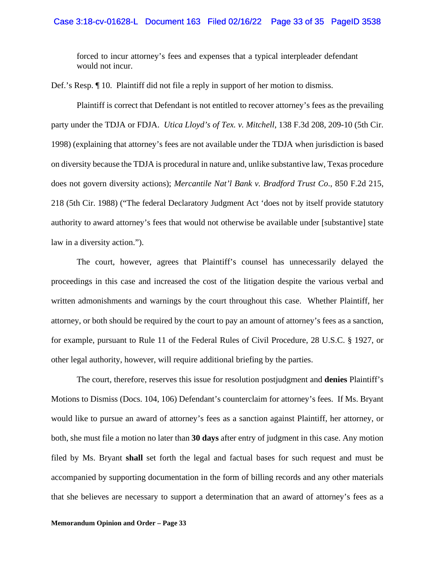forced to incur attorney's fees and expenses that a typical interpleader defendant would not incur.

Def.'s Resp. ¶ 10. Plaintiff did not file a reply in support of her motion to dismiss.

Plaintiff is correct that Defendant is not entitled to recover attorney's fees as the prevailing party under the TDJA or FDJA. *Utica Lloyd's of Tex. v. Mitchell*, 138 F.3d 208, 209-10 (5th Cir. 1998) (explaining that attorney's fees are not available under the TDJA when jurisdiction is based on diversity because the TDJA is procedural in nature and, unlike substantive law, Texas procedure does not govern diversity actions); *Mercantile Nat'l Bank v. Bradford Trust Co*., 850 F.2d 215, 218 (5th Cir. 1988) ("The federal Declaratory Judgment Act 'does not by itself provide statutory authority to award attorney's fees that would not otherwise be available under [substantive] state law in a diversity action.").

The court, however, agrees that Plaintiff's counsel has unnecessarily delayed the proceedings in this case and increased the cost of the litigation despite the various verbal and written admonishments and warnings by the court throughout this case. Whether Plaintiff, her attorney, or both should be required by the court to pay an amount of attorney's fees as a sanction, for example, pursuant to Rule 11 of the Federal Rules of Civil Procedure, 28 U.S.C. § 1927, or other legal authority, however, will require additional briefing by the parties.

The court, therefore, reserves this issue for resolution postjudgment and **denies** Plaintiff's Motions to Dismiss (Docs. 104, 106) Defendant's counterclaim for attorney's fees. If Ms. Bryant would like to pursue an award of attorney's fees as a sanction against Plaintiff, her attorney, or both, she must file a motion no later than **30 days** after entry of judgment in this case. Any motion filed by Ms. Bryant **shall** set forth the legal and factual bases for such request and must be accompanied by supporting documentation in the form of billing records and any other materials that she believes are necessary to support a determination that an award of attorney's fees as a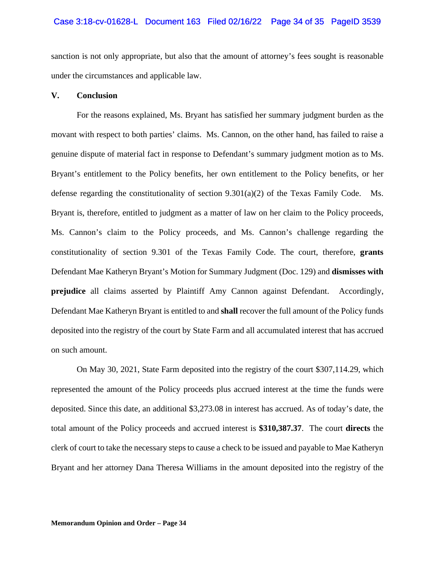#### Case 3:18-cv-01628-L Document 163 Filed 02/16/22 Page 34 of 35 PageID 3539

sanction is not only appropriate, but also that the amount of attorney's fees sought is reasonable under the circumstances and applicable law.

### **V. Conclusion**

For the reasons explained, Ms. Bryant has satisfied her summary judgment burden as the movant with respect to both parties' claims. Ms. Cannon, on the other hand, has failed to raise a genuine dispute of material fact in response to Defendant's summary judgment motion as to Ms. Bryant's entitlement to the Policy benefits, her own entitlement to the Policy benefits, or her defense regarding the constitutionality of section  $9.301(a)(2)$  of the Texas Family Code. Ms. Bryant is, therefore, entitled to judgment as a matter of law on her claim to the Policy proceeds, Ms. Cannon's claim to the Policy proceeds, and Ms. Cannon's challenge regarding the constitutionality of section 9.301 of the Texas Family Code. The court, therefore, **grants**  Defendant Mae Katheryn Bryant's Motion for Summary Judgment (Doc. 129) and **dismisses with prejudice** all claims asserted by Plaintiff Amy Cannon against Defendant. Accordingly, Defendant Mae Katheryn Bryant is entitled to and **shall** recover the full amount of the Policy funds deposited into the registry of the court by State Farm and all accumulated interest that has accrued on such amount.

On May 30, 2021, State Farm deposited into the registry of the court \$307,114.29, which represented the amount of the Policy proceeds plus accrued interest at the time the funds were deposited. Since this date, an additional \$3,273.08 in interest has accrued. As of today's date, the total amount of the Policy proceeds and accrued interest is **\$310,387.37**. The court **directs** the clerk of court to take the necessary steps to cause a check to be issued and payable to Mae Katheryn Bryant and her attorney Dana Theresa Williams in the amount deposited into the registry of the